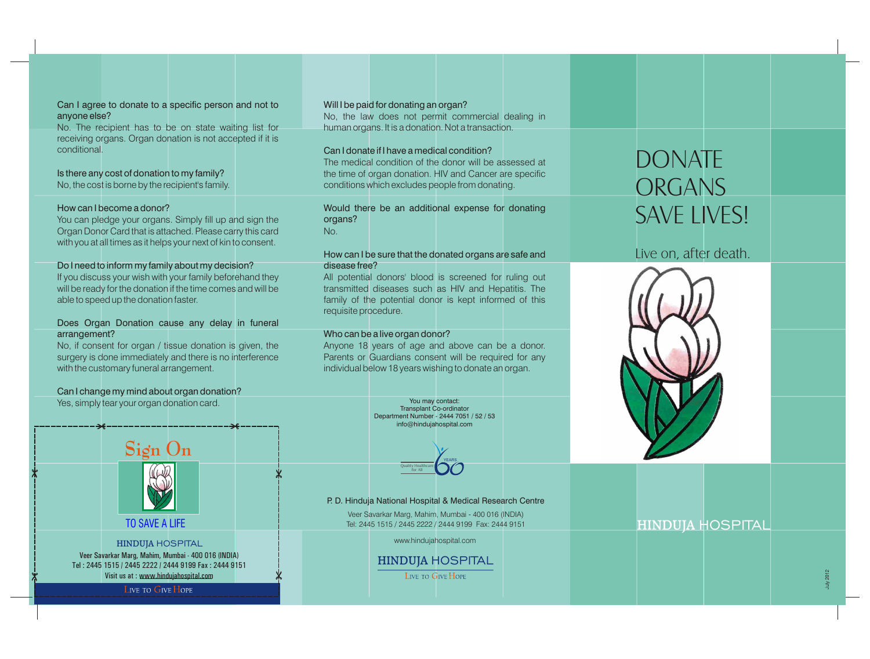#### Can I agree to donate to a specific person and not to anyone else?

No. The recipient has to be on state waiting list for receiving organs. Organ donation is not accepted if it is conditional.

Is there any cost of donation to my family? No, the cost is borne by the recipient's family.

#### How can I become a donor?

You can pledge your organs. Simply fill up and sign the Organ Donor Card that is attached. Please carry this card with you at all times as it helps your next of kin to consent.

#### Do I need to inform my family about my decision?

If you discuss your wish with your family beforehand they will be ready for the donation if the time comes and will be able to speed up the donation faster.

#### Does Organ Donation cause any delay in funeral arrangement?

No, if consent for organ / tissue donation is given, the surgery is done immediately and there is no interference with the customary funeral arrangement.

#### Can I change my mind about organ donation?

Yes, simply tear your organ donation card.



LIVE TO GIVE HOPE

#### Will I be paid for donating an organ? No, the law does not permit commercial dealing in human organs. It is a donation. Not a transaction.

#### Can I donate if I have a medical condition?

The medical condition of the donor will be assessed at the time of organ donation. HIV and Cancer are specific conditions which excludes people from donating.

#### Would there be an additional expense for donating organs? No.

#### How can I be sure that the donated organs are safe and disease free?

All potential donors' blood is screened for ruling out transmitted diseases such as HIV and Hepatitis. The family of the potential donor is kept informed of this requisite procedure.

#### Who can be a live organ donor?

Anyone 18 years of age and above can be a donor. Parents or Guardians consent will be required for any individual below 18 years wishing to donate an organ.

> You may contact: Transplant Co-ordinator Department Number - 2444 7051 / 52 / 53 info@hindujahospital.com



P. D. Hinduja National Hospital & Medical Research Centre

Veer Savarkar Marg, Mahim, Mumbai - 400 016 (INDIA) Tel: 2445 1515 / 2445 2222 / 2444 9199 Fax: 2444 9151

www.hindujahospital.com

#### **HINDUJA** HOSPITAL **LIVE TO GIVE HOPE**

# DONATE ORGANS SAVE LIVES!

# Live on, after death.



### **HINDUJA** HOSPITAL